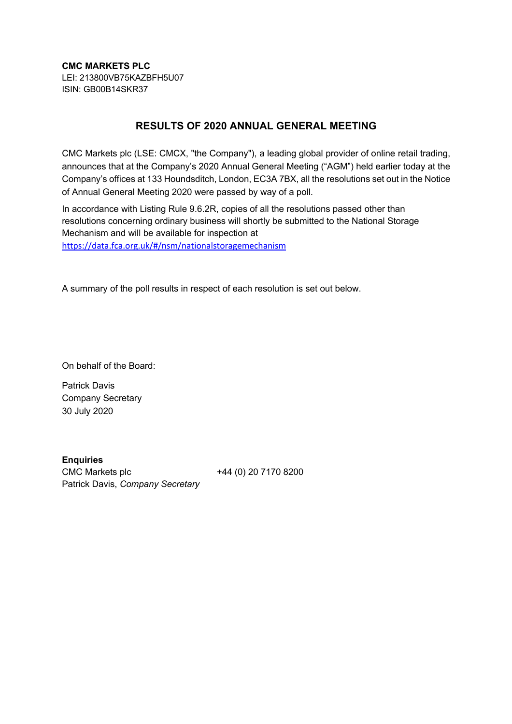**CMC MARKETS PLC** LEI: 213800VB75KAZBFH5U07 ISIN: GB00B14SKR37

## **RESULTS OF 2020 ANNUAL GENERAL MEETING**

CMC Markets plc (LSE: CMCX, "the Company"), a leading global provider of online retail trading, announces that at the Company's 2020 Annual General Meeting ("AGM") held earlier today at the Company's offices at 133 Houndsditch, London, EC3A 7BX, all the resolutions set out in the Notice of Annual General Meeting 2020 were passed by way of a poll.

In accordance with Listing Rule 9.6.2R, copies of all the resolutions passed other than resolutions concerning ordinary business will shortly be submitted to the National Storage Mechanism and will be available for inspection at https://data.fca.org.uk/#/nsm/nationalstoragemechanism

A summary of the poll results in respect of each resolution is set out below.

On behalf of the Board:

Patrick Davis Company Secretary 30 July 2020

**Enquiries** CMC Markets plc +44 (0) 20 7170 8200 Patrick Davis, *Company Secretary*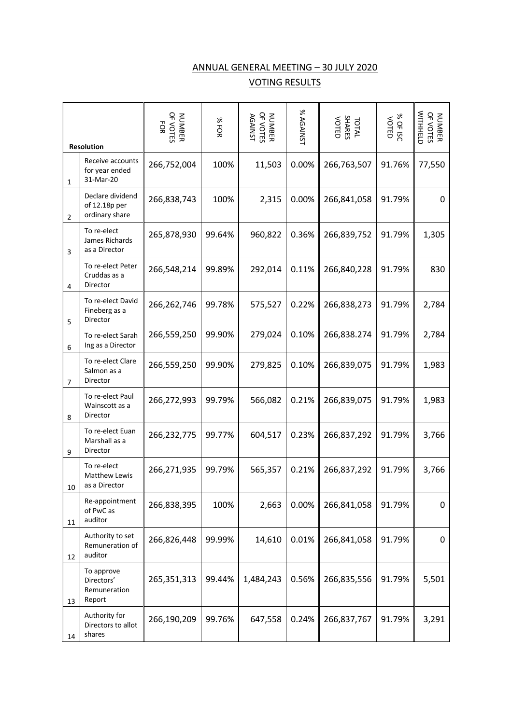## ANNUAL GENERAL MEETING – 30 JULY 2020

## VOTING RESULTS

|                | <b>Resolution</b>                                   | NUMBER<br>OF VOTES<br>FOR | %FOR   | NUMBER<br>OF VOTES<br><b>AGAINST</b> | % AGAINST | TOTAL<br>SHARES<br>VOTED | % OF ISC<br><b>VOTED</b> | WITHHELD<br>NUMBER<br>OF VOTES |
|----------------|-----------------------------------------------------|---------------------------|--------|--------------------------------------|-----------|--------------------------|--------------------------|--------------------------------|
| 1              | Receive accounts<br>for year ended<br>31-Mar-20     | 266,752,004               | 100%   | 11,503                               | 0.00%     | 266,763,507              | 91.76%                   | 77,550                         |
| $\overline{2}$ | Declare dividend<br>of 12.18p per<br>ordinary share | 266,838,743               | 100%   | 2,315                                | 0.00%     | 266,841,058              | 91.79%                   | 0                              |
| 3              | To re-elect<br>James Richards<br>as a Director      | 265,878,930               | 99.64% | 960,822                              | 0.36%     | 266,839,752              | 91.79%                   | 1,305                          |
| 4              | To re-elect Peter<br>Cruddas as a<br>Director       | 266,548,214               | 99.89% | 292,014                              | 0.11%     | 266,840,228              | 91.79%                   | 830                            |
| 5              | To re-elect David<br>Fineberg as a<br>Director      | 266,262,746               | 99.78% | 575,527                              | 0.22%     | 266,838,273              | 91.79%                   | 2,784                          |
| 6              | To re-elect Sarah<br>Ing as a Director              | 266,559,250               | 99.90% | 279,024                              | 0.10%     | 266,838.274              | 91.79%                   | 2,784                          |
| 7              | To re-elect Clare<br>Salmon as a<br>Director        | 266,559,250               | 99.90% | 279,825                              | 0.10%     | 266,839,075              | 91.79%                   | 1,983                          |
| 8              | To re-elect Paul<br>Wainscott as a<br>Director      | 266,272,993               | 99.79% | 566,082                              | 0.21%     | 266,839,075              | 91.79%                   | 1,983                          |
| 9              | To re-elect Euan<br>Marshall as a<br>Director       | 266,232,775               | 99.77% | 604,517                              | 0.23%     | 266,837,292              | 91.79%                   | 3,766                          |
| 10             | To re-elect<br>Matthew Lewis<br>as a Director       | 266,271,935               | 99.79% | 565,357                              | 0.21%     | 266,837,292              | 91.79%                   | 3,766                          |
| 11             | Re-appointment<br>of PwC as<br>auditor              | 266,838,395               | 100%   | 2,663                                | 0.00%     | 266,841,058              | 91.79%                   | 0                              |
| 12             | Authority to set<br>Remuneration of<br>auditor      | 266,826,448               | 99.99% | 14,610                               | 0.01%     | 266,841,058              | 91.79%                   | 0                              |
| 13             | To approve<br>Directors'<br>Remuneration<br>Report  | 265,351,313               | 99.44% | 1,484,243                            | 0.56%     | 266,835,556              | 91.79%                   | 5,501                          |
| 14             | Authority for<br>Directors to allot<br>shares       | 266,190,209               | 99.76% | 647,558                              | 0.24%     | 266,837,767              | 91.79%                   | 3,291                          |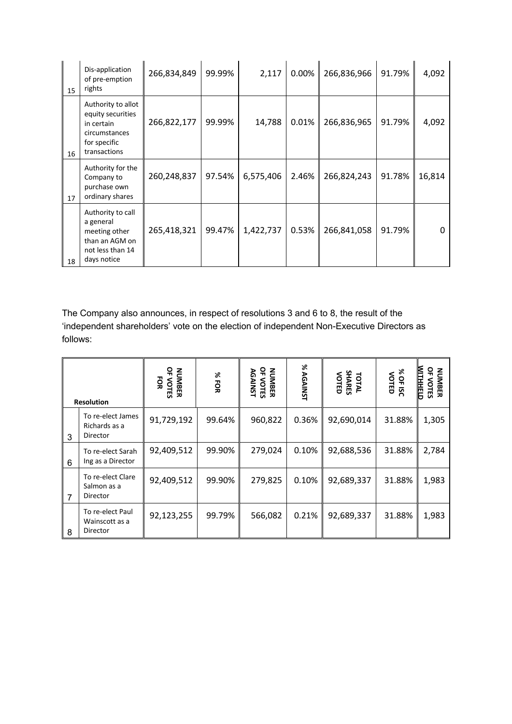| 15 | Dis-application<br>of pre-emption<br>rights                                                            | 266,834,849 | 99.99% | 2,117     | 0.00% | 266,836,966 | 91.79% | 4,092  |
|----|--------------------------------------------------------------------------------------------------------|-------------|--------|-----------|-------|-------------|--------|--------|
| 16 | Authority to allot<br>equity securities<br>in certain<br>circumstances<br>for specific<br>transactions | 266,822,177 | 99.99% | 14,788    | 0.01% | 266,836,965 | 91.79% | 4,092  |
| 17 | Authority for the<br>Company to<br>purchase own<br>ordinary shares                                     | 260,248,837 | 97.54% | 6,575,406 | 2.46% | 266,824,243 | 91.78% | 16,814 |
| 18 | Authority to call<br>a general<br>meeting other<br>than an AGM on<br>not less than 14<br>days notice   | 265,418,321 | 99.47% | 1,422,737 | 0.53% | 266,841,058 | 91.79% |        |

The Company also announces, in respect of resolutions 3 and 6 to 8, the result of the 'independent shareholders' vote on the election of independent Non-Executive Directors as follows:

| <b>Resolution</b> |                                                | 윾<br><b>NUMBER</b><br>ŠЯ<br><b>VOTES</b> | %FOR   | 윾<br><b>NUMBER</b><br><b>AGAINST</b><br><b>VOTES</b> | % AGAINST | TOTAL<br>SHARES<br>VOTED | % OF ISC<br>VOTED | <b>WITHHELD</b><br>읶<br><b>NUMBER</b><br>VOTES |
|-------------------|------------------------------------------------|------------------------------------------|--------|------------------------------------------------------|-----------|--------------------------|-------------------|------------------------------------------------|
| 3                 | To re-elect James<br>Richards as a<br>Director | 91,729,192                               | 99.64% | 960,822                                              | 0.36%     | 92,690,014               | 31.88%            | 1,305                                          |
| 6                 | To re-elect Sarah<br>Ing as a Director         | 92,409,512                               | 99.90% | 279,024                                              | 0.10%     | 92,688,536               | 31.88%            | 2,784                                          |
| 7                 | To re-elect Clare<br>Salmon as a<br>Director   | 92,409,512                               | 99.90% | 279,825                                              | 0.10%     | 92,689,337               | 31.88%            | 1,983                                          |
| 8                 | To re-elect Paul<br>Wainscott as a<br>Director | 92,123,255                               | 99.79% | 566,082                                              | 0.21%     | 92,689,337               | 31.88%            | 1,983                                          |